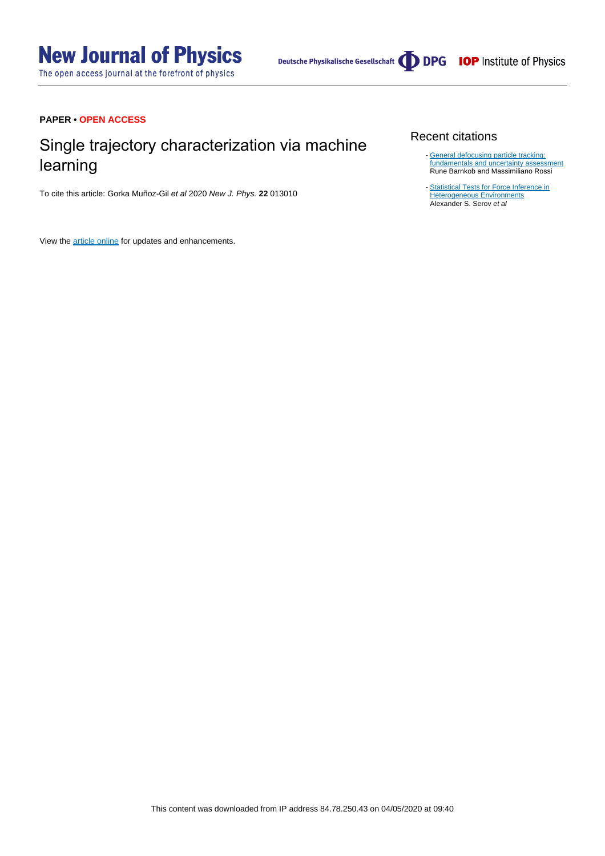The open access journal at the forefront of physics

# **PAPER • OPEN ACCESS**

# Single trajectory characterization via machine learning

To cite this article: Gorka Muñoz-Gil et al 2020 New J. Phys. **22** 013010

View the [article online](https://doi.org/10.1088/1367-2630/ab6065) for updates and enhancements.

# Recent citations

- [General defocusing particle tracking:](http://dx.doi.org/10.1007/s00348-020-2937-5) [fundamentals and uncertainty assessment](http://dx.doi.org/10.1007/s00348-020-2937-5) Rune Barnkob and Massimiliano Rossi -
- [Statistical Tests for Force Inference in](http://dx.doi.org/10.1038/s41598-020-60220-1) <u>[Heterogeneous Environments](http://dx.doi.org/10.1038/s41598-020-60220-1)</u><br>Alexander S. Serov *et al*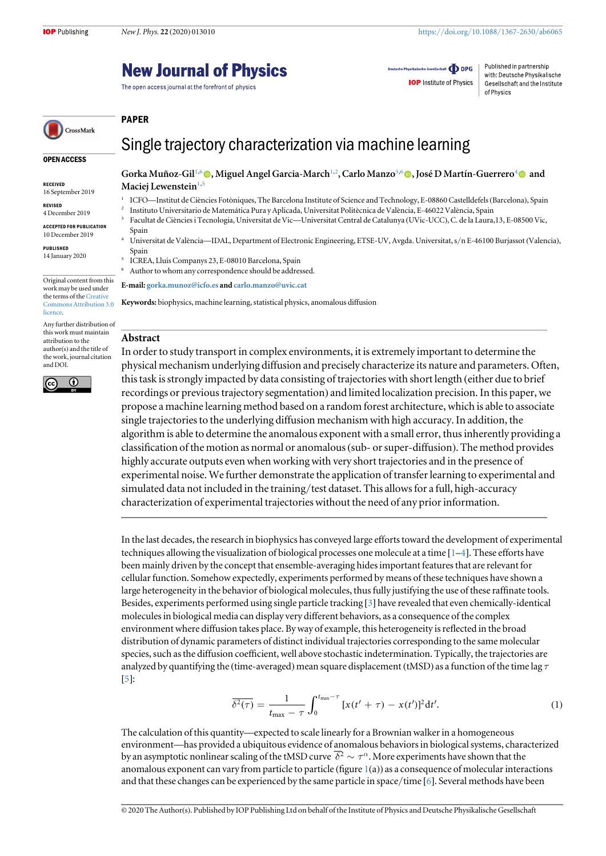# **New Journal of Physics**

The open access journal at the forefront of physics

Deutsche Physikalische Gesellschaft **ODPG IOP** Institute of Physics

Published in partnership with: Deutsche Physikalische Gesellschaft and the Institute of Physics

CrossMark

# Single trajectory characterization via machine learning

OPEN ACCESS

RECEIVED 16 September 2019

REVISED

4 December 2019 ACCEPTED FOR PUBLICATION

10 December 2019

PUBLISHED 14 January 2020

Original content from this work may be used under the terms of the [Creative](http://creativecommons.org/licenses/by/3.0) [Commons Attribution 3.0](http://creativecommons.org/licenses/by/3.0) **licence** 

Any further distribution of this work must maintain attribution to the author(s) and the title of the work, journal citation and DOI.



Gorka Muñoz-Gil<sup>1[,](https://orcid.org/0000-0002-8625-0996)6</sup> (®, Miguel Angel Garcia-March<sup>1,2</sup>, Carlo Manzo<sup>3,6</sup> (®, José D Martín-Guerrero<sup>4</sup> ® and Maciej Lewenstein $1,5$ 

- <sup>1</sup> ICFO—Institut de Ciències Fotòniques, The Barcelona Institute of Science and Technology, E-08860 Castelldefels (Barcelona), Spain
- <sup>2</sup> Instituto Universitario de Matemática Pura y Aplicada, Universitat Politècnica de València, E-46022 València, Spain
- <sup>3</sup> Facultat de Ciències i Tecnologia, Universitat de Vic—Universitat Central de Catalunya (UVic-UCC), C. de la Laura,13, E-08500 Vic, Spain
	- Universitat de València—IDAL, Department of Electronic Engineering, ETSE-UV, Avgda. Universitat, s/n E-46100 Burjassot (Valencia), Spain
- <sup>5</sup> ICREA, Lluis Companys 23, E-08010 Barcelona, Spain
- Author to whom any correspondence should be addressed.

E-mail: [gorka.munoz@icfo.es](mailto:gorka.munoz@icfo.es) and [carlo.manzo@uvic.cat](mailto:carlo.manzo@uvic.cat)

Keywords: biophysics, machine learning, statistical physics, anomalous diffusion

# Abstract

PAPER

In order to study transport in complex environments, it is extremely important to determine the physical mechanism underlying diffusion and precisely characterize its nature and parameters. Often, this task is strongly impacted by data consisting of trajectories with short length (either due to brief recordings or previous trajectory segmentation) and limited localization precision. In this paper, we propose a machine learning method based on a random forest architecture, which is able to associate single trajectories to the underlying diffusion mechanism with high accuracy. In addition, the algorithm is able to determine the anomalous exponent with a small error, thus inherently providing a classification of the motion as normal or anomalous(sub- or super-diffusion). The method provides highly accurate outputs even when working with very short trajectories and in the presence of experimental noise. We further demonstrate the application of transfer learning to experimental and simulated data not included in the training/test dataset. This allows for a full, high-accuracy characterization of experimental trajectories without the need of any prior information.

In the last decades, the research in biophysics has conveyed large efforts toward the development of experimental techniques allowing the visualization of biological processes one molecule at a time [[1](#page-8-0)–[4](#page-8-0)]. These efforts have been mainly driven by the concept that ensemble-averaging hides important features that are relevant for cellular function. Somehow expectedly, experiments performed by means of these techniques have shown a large heterogeneity in the behavior of biological molecules, thus fully justifying the use of these raffinate tools. Besides, experiments performed using single particle tracking [[3](#page-8-0)] have revealed that even chemically-identical molecules in biological media can display very different behaviors, as a consequence of the complex environment where diffusion takes place. By way of example, this heterogeneity is reflected in the broad distribution of dynamic parameters of distinct individual trajectories corresponding to the same molecular species, such as the diffusion coefficient, well above stochastic indetermination. Typically, the trajectories are analyzed by quantifying the (time-averaged) mean square displacement (tMSD) as a function of the time lag  $\tau$ [[5](#page-8-0)]:

$$
\overline{\delta^2(\tau)} = \frac{1}{t_{\text{max}} - \tau} \int_0^{t_{\text{max}} - \tau} [x(t' + \tau) - x(t')]^2 dt'.
$$
 (1)

The calculation of this quantity—expected to scale linearly for a Brownian walker in a homogeneous environment—has provided a ubiquitous evidence of anomalous behaviors in biological systems, characterized by an asymptotic nonlinear scaling of the tMSD curve  $\overline{\delta^2} \sim \tau^{\alpha}$ . More experiments have shown that the anomalous exponent can vary from particle to particle (figure  $1(a)$  $1(a)$ ) as a consequence of molecular interactions and that these changes can be experienced by the same particle in space/time [[6](#page-8-0)]. Several methods have been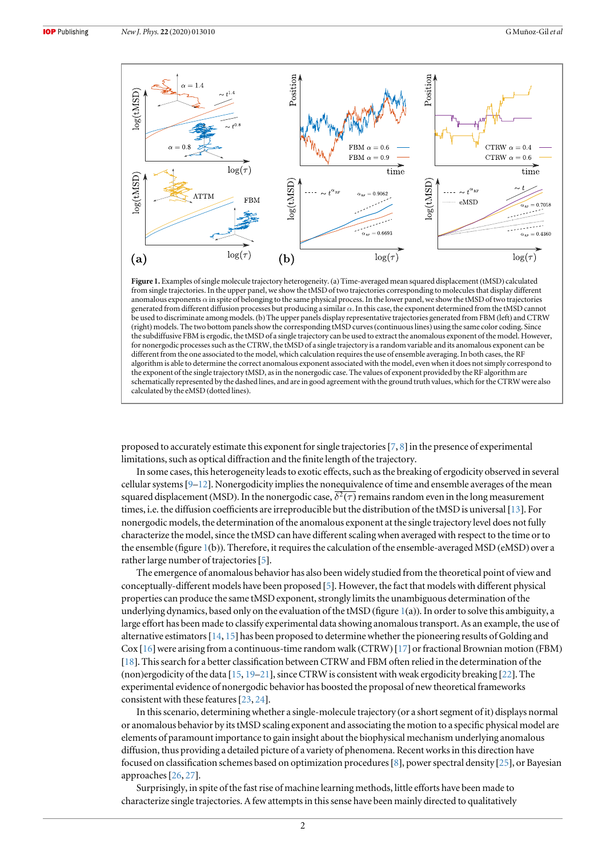<span id="page-2-0"></span>

Figure 1. Examples of single molecule trajectory heterogeneity. (a) Time-averaged mean squared displacement (tMSD) calculated from single trajectories. In the upper panel, we show the tMSD of two trajectories corresponding to molecules that display different anomalous exponents  $\alpha$  in spite of belonging to the same physical process. In the lower panel, we show the tMSD of two trajectories generated from different diffusion processes but producing a similar  $\alpha$ . In this case, the exponent determined from the tMSD cannot be used to discriminate among models. (b) The upper panels display representative trajectories generated from FBM (left) and CTRW (right) models. The two bottom panels show the corresponding tMSD curves(continuous lines) using the same color coding. Since the subdiffusive FBM is ergodic, the tMSD of a single trajectory can be used to extract the anomalous exponent of the model. However, for nonergodic processes such as the CTRW, the tMSD of a single trajectory is a random variable and its anomalous exponent can be different from the one associated to the model, which calculation requires the use of ensemble averaging. In both cases, the RF algorithm is able to determine the correct anomalous exponent associated with the model, even when it does not simply correspond to the exponent of the single trajectory tMSD, as in the nonergodic case. The values of exponent provided by the RF algorithm are schematically represented by the dashed lines, and are in good agreement with the ground truth values, which for the CTRW were also calculated by the eMSD (dotted lines).

proposed to accurately estimate this exponent for single trajectories[[7,](#page-8-0) [8](#page-9-0)] in the presence of experimental limitations, such as optical diffraction and the finite length of the trajectory.

In some cases, this heterogeneity leads to exotic effects, such as the breaking of ergodicity observed in several cellular systems[[9](#page-9-0)–[12](#page-9-0)]. Nonergodicity implies the nonequivalence of time and ensemble averages of the mean squared displacement (MSD). In the nonergodic case,  $\overline{\delta^2(\tau)}$  remains random even in the long measurement times, i.e. the diffusion coefficients are irreproducible but the distribution of the tMSD is universal [[13](#page-9-0)]. For nonergodic models, the determination of the anomalous exponent at the single trajectory level does not fully characterize the model, since the tMSD can have different scaling when averaged with respect to the time or to the ensemble (figure 1(b)). Therefore, it requires the calculation of the ensemble-averaged MSD (eMSD) over a rather large number of trajectories [[5](#page-8-0)].

The emergence of anomalous behavior has also been widely studied from the theoretical point of view and conceptually-different models have been proposed [[5](#page-8-0)]. However, the fact that models with different physical properties can produce the same tMSD exponent, strongly limits the unambiguous determination of the underlying dynamics, based only on the evaluation of the tMSD (figure 1(a)). In order to solve this ambiguity, a large effort has been made to classify experimental data showing anomalous transport. As an example, the use of alternative estimators[[14,](#page-9-0) [15](#page-9-0)] has been proposed to determine whether the pioneering results of Golding and Cox [[16](#page-9-0)]were arising from a continuous-time random walk (CTRW) [[17](#page-9-0)] or fractional Brownian motion (FBM) [[18](#page-9-0)]. This search for a better classification between CTRW and FBM often relied in the determination of the (non)ergodicity of the data [[15,](#page-9-0) [19](#page-9-0)–[21](#page-9-0)], since CTRW is consistent with weak ergodicity breaking [[22](#page-9-0)]. The experimental evidence of nonergodic behavior has boosted the proposal of new theoretical frameworks consistent with these features[[23,](#page-9-0) [24](#page-9-0)].

In this scenario, determining whether a single-molecule trajectory (or a short segment of it) displays normal or anomalous behavior by its tMSD scaling exponent and associating the motion to a specific physical model are elements of paramount importance to gain insight about the biophysical mechanism underlying anomalous diffusion, thus providing a detailed picture of a variety of phenomena. Recent works in this direction have focused on classification schemes based on optimization procedures[[8](#page-9-0)], power spectral density [[25](#page-9-0)], or Bayesian approaches[[26](#page-9-0), [27](#page-9-0)].

Surprisingly, in spite of the fast rise of machine learning methods, little efforts have been made to characterize single trajectories. A few attempts in this sense have been mainly directed to qualitatively

 $\overline{2}$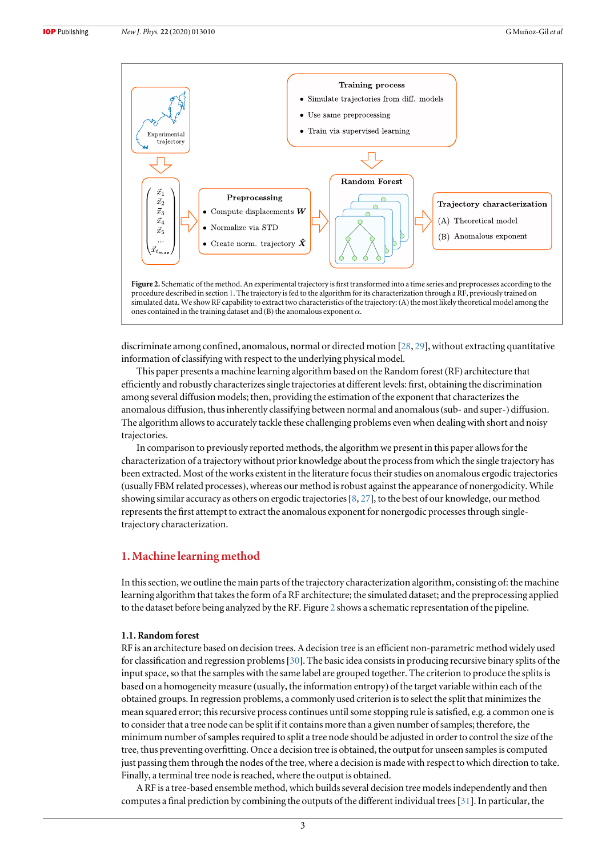<span id="page-3-0"></span>

discriminate among confined, anomalous, normal or directed motion [[28,](#page-9-0) [29](#page-9-0)], without extracting quantitative information of classifying with respect to the underlying physical model.

This paper presents a machine learning algorithm based on the Random forest (RF) architecture that efficiently and robustly characterizes single trajectories at different levels: first, obtaining the discrimination among several diffusion models; then, providing the estimation of the exponent that characterizes the anomalous diffusion, thus inherently classifying between normal and anomalous(sub- and super-) diffusion. The algorithm allows to accurately tackle these challenging problems even when dealing with short and noisy trajectories.

In comparison to previously reported methods, the algorithm we present in this paper allows for the characterization of a trajectory without prior knowledge about the process from which the single trajectory has been extracted. Most of the works existent in the literature focus their studies on anomalous ergodic trajectories (usually FBM related processes), whereas our method is robust against the appearance of nonergodicity. While showing similar accuracy as others on ergodic trajectories [[8](#page-9-0), [27](#page-9-0)], to the best of our knowledge, our method represents the first attempt to extract the anomalous exponent for nonergodic processes through singletrajectory characterization.

# 1. Machine learning method

In this section, we outline the main parts of the trajectory characterization algorithm, consisting of: the machine learning algorithm that takes the form of a RF architecture; the simulated dataset; and the preprocessing applied to the dataset before being analyzed by the RF. Figure 2 shows a schematic representation of the pipeline.

#### 1.1. Random forest

RF is an architecture based on decision trees. A decision tree is an efficient non-parametric method widely used for classification and regression problems[[30](#page-9-0)]. The basic idea consists in producing recursive binary splits of the input space, so that the samples with the same label are grouped together. The criterion to produce the splits is based on a homogeneity measure (usually, the information entropy) of the target variable within each of the obtained groups. In regression problems, a commonly used criterion is to select the split that minimizes the mean squared error; this recursive process continues until some stopping rule is satisfied, e.g. a common one is to consider that a tree node can be split if it contains more than a given number of samples; therefore, the minimum number of samples required to split a tree node should be adjusted in order to control the size of the tree, thus preventing overfitting. Once a decision tree is obtained, the output for unseen samples is computed just passing them through the nodes of the tree, where a decision is made with respect to which direction to take. Finally, a terminal tree node is reached, where the output is obtained.

A RF is a tree-based ensemble method, which builds several decision tree models independently and then computes a final prediction by combining the outputs of the different individual trees[[31](#page-9-0)]. In particular, the

3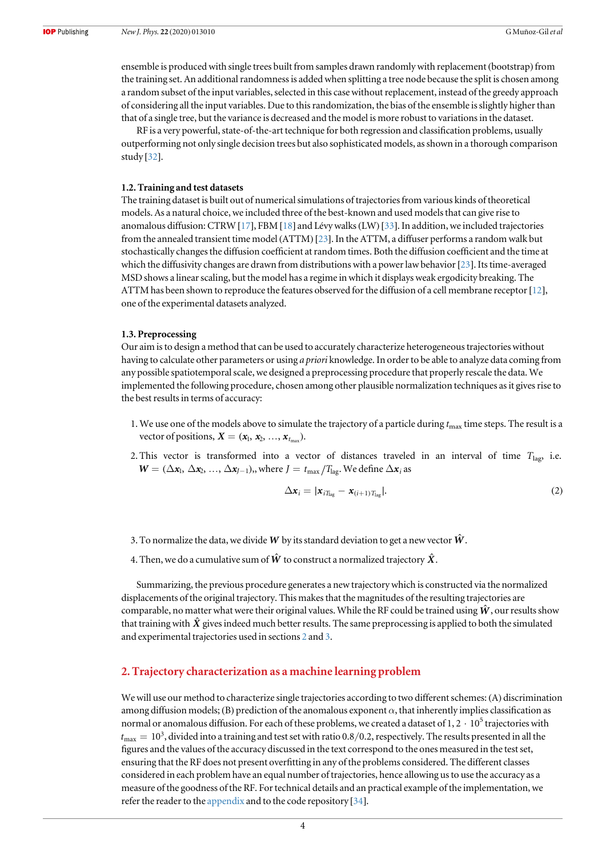ensemble is produced with single trees built from samples drawn randomly with replacement (bootstrap) from the training set. An additional randomness is added when splitting a tree node because the split is chosen among a random subset of the input variables, selected in this case without replacement, instead of the greedy approach of considering all the input variables. Due to this randomization, the bias of the ensemble is slightly higher than that of a single tree, but the variance is decreased and the model is more robust to variations in the dataset.

RF is a very powerful, state-of-the-art technique for both regression and classification problems, usually outperforming not only single decision trees but also sophisticated models, as shown in a thorough comparison study [[32](#page-9-0)].

#### 1.2. Training and test datasets

The training dataset is built out of numerical simulations of trajectories from various kinds of theoretical models. As a natural choice, we included three of the best-known and used models that can give rise to anomalous diffusion: CTRW [[17](#page-9-0)], FBM [[18](#page-9-0)] and Lévy walks(LW) [[33](#page-9-0)]. In addition, we included trajectories from the annealed transient time model (ATTM) [[23](#page-9-0)]. In the ATTM, a diffuser performs a random walk but stochastically changes the diffusion coefficient at random times. Both the diffusion coefficient and the time at which the diffusivity changes are drawn from distributions with a power law behavior [[23](#page-9-0)]. Its time-averaged MSD shows a linear scaling, but the model has a regime in which it displays weak ergodicity breaking. The ATTM has been shown to reproduce the features observed for the diffusion of a cell membrane receptor [[12](#page-9-0)], one of the experimental datasets analyzed.

#### 1.3. Preprocessing

Our aim is to design a method that can be used to accurately characterize heterogeneous trajectories without having to calculate other parameters or using a priori knowledge. In order to be able to analyze data coming from any possible spatiotemporal scale, we designed a preprocessing procedure that properly rescale the data. We implemented the following procedure, chosen among other plausible normalization techniques as it gives rise to the best results in terms of accuracy:

- 1. We use one of the models above to simulate the trajectory of a particle during  $t_{\rm max}$  time steps. The result is a vector of positions,  $X = (x_1, x_2, \ldots, x_{t_{\text{max}}}).$
- 2. This vector is transformed into a vector of distances traveled in an interval of time  $T_{\text{lag}}$ , i.e.  $W = (\Delta x_1, \Delta x_2, ..., \Delta x_{J-1}),$  where  $J = t_{\text{max}}/T_{\text{lag}}$ . We define  $\Delta x_i$  as

$$
\Delta \mathbf{x}_i = |\mathbf{x}_{i} \mathbf{x}_{i+1} - \mathbf{x}_{(i+1)} \mathbf{x}_{\text{lag}}|.
$$
\n(2)

- 3. To normalize the data, we divide *W* by its standard deviation to get a new vector  $\hat{W}$ .
- 4. Then, we do a cumulative sum of  $\hat{W}$  to construct a normalized trajectory  $\hat{X}$ .

Summarizing, the previous procedure generates a new trajectory which is constructed via the normalized displacements of the original trajectory. This makes that the magnitudes of the resulting trajectories are comparable, no matter what were their original values. While the RF could be trained using  $\hat{W}$ , our results show that training with  $\hat{X}$  gives indeed much better results. The same preprocessing is applied to both the simulated and experimental trajectories used in sections 2 and [3](#page-6-0).

# 2. Trajectory characterization as a machine learning problem

We will use our method to characterize single trajectories according to two different schemes: (A) discrimination among diffusion models; (B) prediction of the anomalous exponent  $\alpha$ , that inherently implies classification as normal or anomalous diffusion. For each of these problems, we created a dataset of  $1, 2 \cdot 10^5$  trajectories with  $t_{\text{max}} = 10^3$ , divided into a training and test set with ratio 0.8/0.2, respectively. The results presented in all the figures and the values of the accuracy discussed in the text correspond to the ones measured in the test set, ensuring that the RF does not present overfitting in any of the problems considered. The different classes considered in each problem have an equal number of trajectories, hence allowing us to use the accuracy as a measure of the goodness of the RF. For technical details and an practical example of the implementation, we refer the reader to the [appendix](#page-8-0) and to the code repository [[34](#page-9-0)].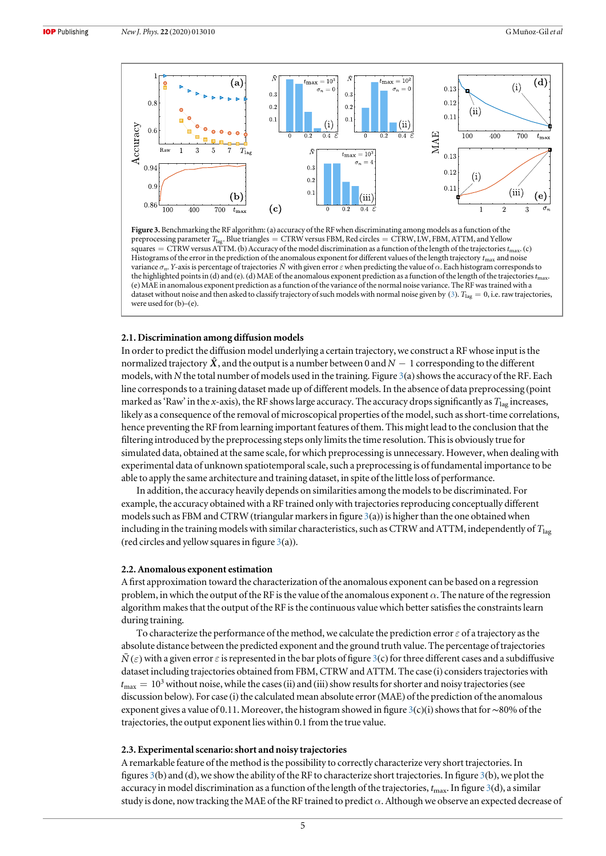<span id="page-5-0"></span>



#### 2.1. Discrimination among diffusion models

In order to predict the diffusion model underlying a certain trajectory, we construct a RF whose input is the normalized trajectory  $\hat{X}$ , and the output is a number between 0 and  $N-1$  corresponding to the different models, with N the total number of models used in the training. Figure  $3(a)$  shows the accuracy of the RF. Each line corresponds to a training dataset made up of different models. In the absence of data preprocessing (point marked as 'Raw' in the x-axis), the RF shows large accuracy. The accuracy drops significantly as  $T_{\text{lag}}$  increases, likely as a consequence of the removal of microscopical properties of the model, such as short-time correlations, hence preventing the RF from learning important features of them. This might lead to the conclusion that the filtering introduced by the preprocessing steps only limits the time resolution. This is obviously true for simulated data, obtained at the same scale, for which preprocessing is unnecessary. However, when dealing with experimental data of unknown spatiotemporal scale, such a preprocessing is of fundamental importance to be able to apply the same architecture and training dataset, in spite of the little loss of performance.

In addition, the accuracy heavily depends on similarities among the models to be discriminated. For example, the accuracy obtained with a RF trained only with trajectories reproducing conceptually different models such as FBM and CTRW (triangular markers in figure  $3(a)$ ) is higher than the one obtained when including in the training models with similar characteristics, such as CTRW and ATTM, independently of  $T_{\text{lag}}$ (red circles and yellow squares in figure  $3(a)$ ).

#### 2.2. Anomalous exponent estimation

A first approximation toward the characterization of the anomalous exponent can be based on a regression problem, in which the output of the RF is the value of the anomalous exponent  $\alpha$ . The nature of the regression algorithm makes that the output of the RF is the continuous value which better satisfies the constraints learn during training.

To characterize the performance of the method, we calculate the prediction error  $\varepsilon$  of a trajectory as the absolute distance between the predicted exponent and the ground truth value. The percentage of trajectories  $\bar{N}(\varepsilon)$  with a given error  $\varepsilon$  is represented in the bar plots of figure 3(c) for three different cases and a subdiffusive dataset including trajectories obtained from FBM, CTRW and ATTM. The case (i) considers trajectories with  $t_{\text{max}} = 10^3$  without noise, while the cases (ii) and (iii) show results for shorter and noisy trajectories (see discussion below). For case (i) the calculated mean absolute error(MAE) of the prediction of the anomalous exponent gives a value of 0.11. Moreover, the histogram showed in figure 3(c)(i) shows that for ∼80% of the trajectories, the output exponent lies within 0.1 from the true value.

#### 2.3. Experimental scenario: short and noisy trajectories

A remarkable feature of the method is the possibility to correctly characterize very short trajectories. In figures 3(b) and (d), we show the ability of the RF to characterize short trajectories. In figure 3(b), we plot the accuracy in model discrimination as a function of the length of the trajectories,  $t_{\text{max}}$ . In figure 3(d), a similar study is done, now tracking the MAE of the RF trained to predict  $\alpha$ . Although we observe an expected decrease of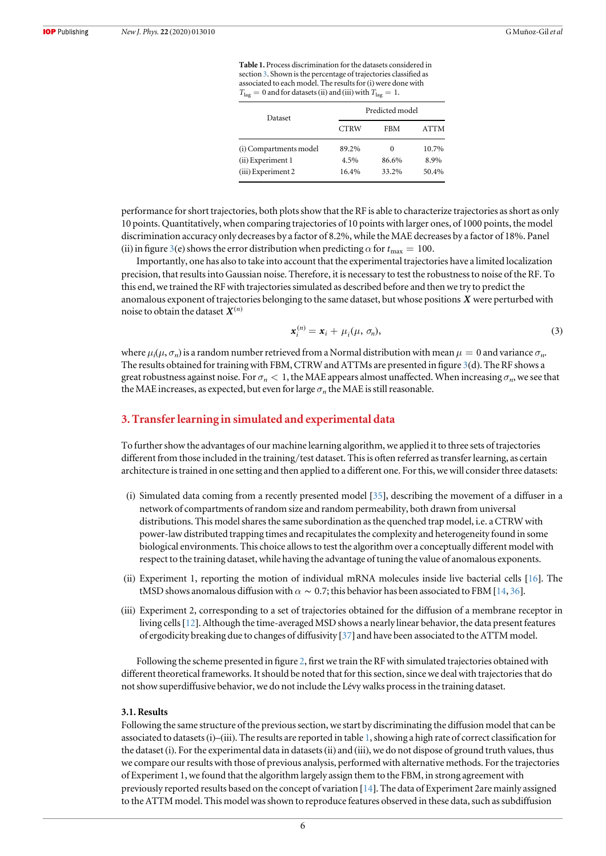Table 1. Process discrimination for the datasets considered in section 3. Shown is the percentage of trajectories classified as associated to each model. The results for (i) were done with  $T_{\text{lag}} = 0$  and for datasets (ii) and (iii) with  $T_{\text{lag}} = 1$ .

| Dataset                | Predicted model |            |             |  |
|------------------------|-----------------|------------|-------------|--|
|                        | <b>CTRW</b>     | <b>FBM</b> | <b>ATTM</b> |  |
| (i) Compartments model | 89.2%           | $\Omega$   | 10.7%       |  |
| (ii) Experiment 1      | 4.5%            | 86.6%      | 8.9%        |  |
| (iii) Experiment 2     | 16.4%           | 33.2%      | 50.4%       |  |

<span id="page-6-0"></span>performance for short trajectories, both plots show that the RF is able to characterize trajectories as short as only 10 points. Quantitatively, when comparing trajectories of 10 points with larger ones, of 1000 points, the model discrimination accuracy only decreases by a factor of 8.2%, while the MAE decreases by a factor of 18%. Panel (ii) in figure [3](#page-5-0)(e) shows the error distribution when predicting  $\alpha$  for  $t_{\text{max}} = 100$ .

Importantly, one has also to take into account that the experimental trajectories have a limited localization precision, that results into Gaussian noise. Therefore, it is necessary to test the robustness to noise of the RF. To this end, we trained the RF with trajectories simulated as described before and then we try to predict the anomalous exponent of trajectories belonging to the same dataset, but whose positions *X* were perturbed with noise to obtain the dataset  $X^{(n)}$ 

$$
\mathbf{x}_i^{(n)} = \mathbf{x}_i + \mu_i(\mu, \sigma_n),\tag{3}
$$

where  $\mu_i(\mu, \sigma_n)$  is a random number retrieved from a Normal distribution with mean  $\mu = 0$  and variance  $\sigma_n$ . The results obtained for training with FBM, CTRW and ATTMs are presented in figure [3](#page-5-0)(d). The RF shows a great robustness against noise. For  $\sigma_n < 1$ , the MAE appears almost unaffected. When increasing  $\sigma_n$ , we see that the MAE increases, as expected, but even for large  $\sigma_n$  the MAE is still reasonable.

## 3. Transfer learning in simulated and experimental data

To further show the advantages of our machine learning algorithm, we applied it to three sets of trajectories different from those included in the training/test dataset. This is often referred as transfer learning, as certain architecture is trained in one setting and then applied to a different one. For this, we will consider three datasets:

- (i) Simulated data coming from a recently presented model [[35](#page-9-0)], describing the movement of a diffuser in a network of compartments of random size and random permeability, both drawn from universal distributions. This model shares the same subordination as the quenched trap model, i.e. a CTRW with power-law distributed trapping times and recapitulates the complexity and heterogeneity found in some biological environments. This choice allows to test the algorithm over a conceptually different model with respect to the training dataset, while having the advantage of tuning the value of anomalous exponents.
- (ii) Experiment 1, reporting the motion of individual mRNA molecules inside live bacterial cells [[16](#page-9-0)]. The tMSD shows anomalous diffusion with  $\alpha \sim 0.7$ ; this behavior has been associated to FBM [[14](#page-9-0), [36](#page-9-0)].
- (iii) Experiment 2, corresponding to a set of trajectories obtained for the diffusion of a membrane receptor in living cells [[12](#page-9-0)]. Although the time-averaged MSD shows a nearly linear behavior, the data present features of ergodicity breaking due to changes of diffusivity [[37](#page-9-0)] and have been associated to the ATTM model.

Following the scheme presented in figure [2](#page-3-0), first we train the RF with simulated trajectories obtained with different theoretical frameworks. It should be noted that for this section, since we deal with trajectories that do not show superdiffusive behavior, we do not include the Lévy walks process in the training dataset.

#### 3.1. Results

Following the same structure of the previous section, we start by discriminating the diffusion model that can be associated to datasets(i)–(iii). The results are reported in table 1, showing a high rate of correct classification for the dataset (i). For the experimental data in datasets (ii) and (iii), we do not dispose of ground truth values, thus we compare our results with those of previous analysis, performed with alternative methods. For the trajectories of Experiment 1, we found that the algorithm largely assign them to the FBM, in strong agreement with previously reported results based on the concept of variation [[14](#page-9-0)]. The data of Experiment 2are mainly assigned to the ATTM model. This model was shown to reproduce features observed in these data, such as subdiffusion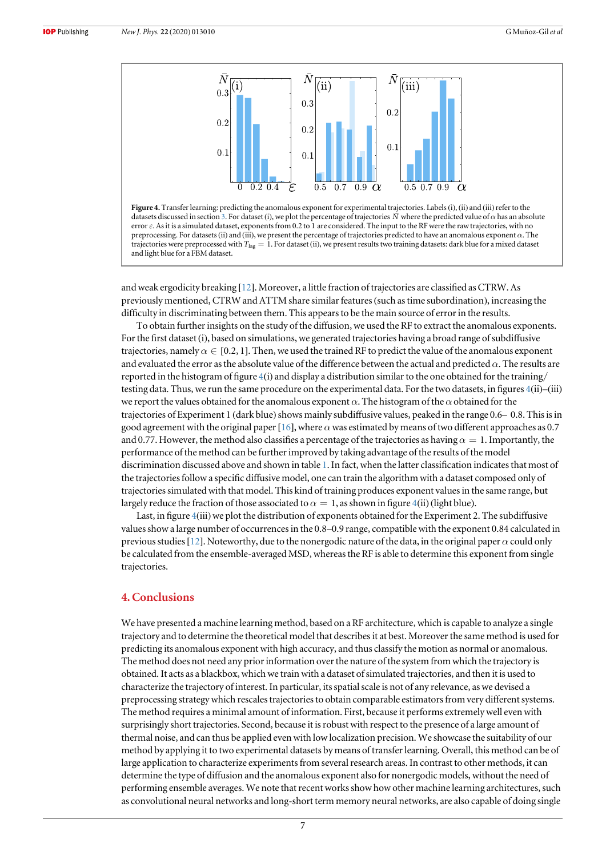<span id="page-7-0"></span>

Figure 4. Transfer learning: predicting the anomalous exponent for experimental trajectories. Labels (i), (ii) and (iii) refer to the datasets discussed in section [3](#page-6-0). For dataset (i), we plot the percentage of trajectories *N*<sup> $\dagger$ </sup> where the predicted value of α has an absolute error ε. As it is a simulated dataset, exponents from 0.2 to 1 are considered. The input to the RF were the raw trajectories, with no preprocessing. For datasets(ii) and (iii), we present the percentage of trajectories predicted to have an anomalous exponent α. The trajectories were preprocessed with  $T_{\text{lag}} = 1$ . For dataset (ii), we present results two training datasets: dark blue for a mixed dataset and light blue for a FBM dataset.

and weak ergodicity breaking [[12](#page-9-0)]. Moreover, a little fraction of trajectories are classified as CTRW. As previously mentioned, CTRW and ATTM share similar features(such as time subordination), increasing the difficulty in discriminating between them. This appears to be the main source of error in the results.

To obtain further insights on the study of the diffusion, we used the RF to extract the anomalous exponents. For the first dataset (i), based on simulations, we generated trajectories having a broad range of subdiffusive trajectories, namely  $\alpha \in [0.2, 1]$ . Then, we used the trained RF to predict the value of the anomalous exponent and evaluated the error as the absolute value of the difference between the actual and predicted  $\alpha$ . The results are reported in the histogram of figure  $4(i)$  and display a distribution similar to the one obtained for the training/ testing data. Thus, we run the same procedure on the experimental data. For the two datasets, in figures 4(ii)–(iii) we report the values obtained for the anomalous exponent  $\alpha$ . The histogram of the  $\alpha$  obtained for the trajectories of Experiment 1 (dark blue) shows mainly subdiffusive values, peaked in the range 0.6–0.8. This is in good agreement with the original paper [[16](#page-9-0)], where  $\alpha$  was estimated by means of two different approaches as 0.7 and 0.77. However, the method also classifies a percentage of the trajectories as having  $\alpha = 1$ . Importantly, the performance of the method can be further improved by taking advantage of the results of the model discrimination discussed above and shown in table [1](#page-6-0). In fact, when the latter classification indicates that most of the trajectories follow a specific diffusive model, one can train the algorithm with a dataset composed only of trajectories simulated with that model. This kind of training produces exponent values in the same range, but largely reduce the fraction of those associated to  $\alpha = 1$ , as shown in figure 4(ii) (light blue).

Last, in figure 4(iii) we plot the distribution of exponents obtained for the Experiment 2. The subdiffusive values show a large number of occurrences in the 0.8–0.9 range, compatible with the exponent 0.84 calculated in previous studies [[12](#page-9-0)]. Noteworthy, due to the nonergodic nature of the data, in the original paper  $\alpha$  could only be calculated from the ensemble-averaged MSD, whereas the RF is able to determine this exponent from single trajectories.

# 4. Conclusions

We have presented a machine learning method, based on a RF architecture, which is capable to analyze a single trajectory and to determine the theoretical model that describes it at best. Moreover the same method is used for predicting its anomalous exponent with high accuracy, and thus classify the motion as normal or anomalous. The method does not need any prior information over the nature of the system from which the trajectory is obtained. It acts as a blackbox, which we train with a dataset of simulated trajectories, and then it is used to characterize the trajectory of interest. In particular, its spatial scale is not of any relevance, as we devised a preprocessing strategy which rescales trajectories to obtain comparable estimators from very different systems. The method requires a minimal amount of information. First, because it performs extremely well even with surprisingly short trajectories. Second, because it is robust with respect to the presence of a large amount of thermal noise, and can thus be applied even with low localization precision. We showcase the suitability of our method by applying it to two experimental datasets by means of transfer learning. Overall, this method can be of large application to characterize experiments from several research areas. In contrast to other methods, it can determine the type of diffusion and the anomalous exponent also for nonergodic models, without the need of performing ensemble averages. We note that recent works show how other machine learning architectures, such as convolutional neural networks and long-short term memory neural networks, are also capable of doing single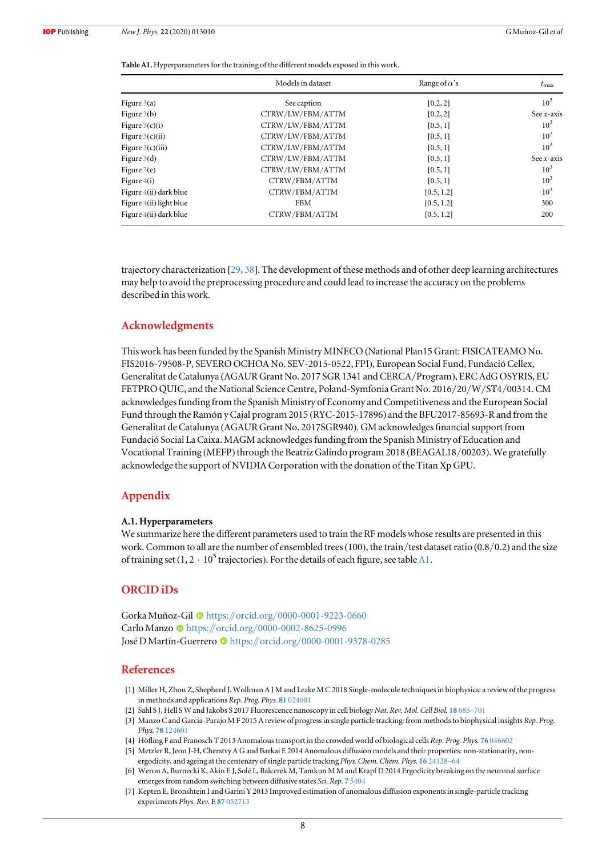<span id="page-8-0"></span>Table A1. Hyperparameters for the training of the different models exposed in this work.

|                         | Models in dataset | Range of $\alpha$ 's | $t_{\rm max}$   |
|-------------------------|-------------------|----------------------|-----------------|
| Figure $3(a)$           | See caption       | [0.2, 2]             | 10 <sup>3</sup> |
| Figure $3(b)$           | CTRW/LW/FBM/ATTM  | [0.2, 2]             | See $x$ -axis   |
| Figure $3(c)(i)$        | CTRW/LW/FBM/ATTM  | [0.5, 1]             | 10 <sup>3</sup> |
| Figure $3(c)(ii)$       | CTRW/LW/FBM/ATTM  | [0.5, 1]             | $10^{2}$        |
| Figure $3(c)(iii)$      | CTRW/LW/FBM/ATTM  | [0.5, 1]             | 10 <sup>3</sup> |
| Figure $3(d)$           | CTRW/LW/FBM/ATTM  | [0.5, 1]             | See $x$ -axis   |
| Figure $3(e)$           | CTRW/LW/FBM/ATTM  | [0.5, 1]             | 10 <sup>3</sup> |
| Figure $4(i)$           | CTRW/FBM/ATTM     | [0.5, 1]             | 10 <sup>3</sup> |
| Figure 4(ii) dark blue  | CTRW/FBM/ATTM     | [0.5, 1.2]           | $10^3$          |
| Figure 4(ii) light blue | <b>FBM</b>        | [0.5, 1.2]           | 300             |
| Figure 4(ii) dark blue  | CTRW/FBM/ATTM     | [0.5, 1.2]           | 200             |

trajectory characterization [[29](#page-9-0), [38](#page-9-0)]. The development of these methods and of other deep learning architectures may help to avoid the preprocessing procedure and could lead to increase the accuracy on the problems described in this work.

## Acknowledgments

This work has been funded by the Spanish Ministry MINECO (National Plan15 Grant: FISICATEAMO No. FIS2016-79508-P, SEVERO OCHOA No. SEV-2015-0522, FPI), European Social Fund, Fundació Cellex, Generalitat de Catalunya (AGAUR Grant No. 2017 SGR 1341 and CERCA/Program), ERC AdG OSYRIS, EU FETPRO QUIC, and the National Science Centre, Poland-Symfonia Grant No. 2016/20/W/ST4/00314. CM acknowledges funding from the Spanish Ministry of Economy and Competitiveness and the European Social Fund through the Ramón y Cajal program 2015 (RYC-2015-17896) and the BFU2017-85693-R and from the Generalitat de Catalunya (AGAUR Grant No. 2017SGR940). GM acknowledges financial support from Fundació Social La Caixa. MAGM acknowledges funding from the Spanish Ministry of Education and Vocational Training (MEFP) through the Beatriz Galindo program 2018 (BEAGAL18/00203). We gratefully acknowledge the support of NVIDIA Corporation with the donation of the Titan Xp GPU.

# Appendix

#### A.1. Hyperparameters

We summarize here the different parameters used to train the RF models whose results are presented in this work. Common to all are the number of ensembled trees(100), the train/test dataset ratio (0.8/0.2) and the size of training set  $(1, 2 \cdot 10^5$  trajectories). For the details of each figure, see table A1.

## ORCID iDs

Gorka Muñoz-Gil <sup>to</sup> [https:](https://orcid.org/0000-0001-9223-0660)//orcid.org/[0000-0001-9223-0660](https://orcid.org/0000-0001-9223-0660) Carl[o](https://orcid.org/0000-0002-8625-0996) Manzo <sup>th</sup> [https:](https://orcid.org/0000-0002-8625-0996)//orcid.org/[0000-0002-8625-0996](https://orcid.org/0000-0002-8625-0996) J[o](https://orcid.org/0000-0001-9378-0285)sé D Martín-Guerrero i [https:](https://orcid.org/0000-0001-9378-0285)//orcid.org/[0000-0001-9378-0285](https://orcid.org/0000-0001-9378-0285)

#### References

- [1] Miller H, Zhou Z, Shepherd J, Wollman A J M and Leake M C 2018 Single-molecule techniques in biophysics: a review of the progress in methods and applications Rep. Prog. Phys. 81 [024601](https://doi.org/10.1088/1361-6633/aa8a02)
- [2] Sahl S J, Hell S W and Jakobs S 2017 Fluorescence nanoscopy in cell biology Nat. Rev. Mol. Cell Biol. 18 [685](https://doi.org/10.1038/nrm.2017.71)–701
- [3] Manzo C and Garcia-Parajo M F 2015 A review of progress in single particle tracking: from methods to biophysical insights Rep. Prog. Phys. 78 [124601](https://doi.org/10.1088/0034-4885/78/12/124601)
- [4] Höfling F and Franosch T 2013 Anomalous transport in the crowded world of biological cells Rep. Prog. Phys. 76 [046602](https://doi.org/10.1088/0034-4885/76/4/046602)
- [5] Metzler R, Jeon J-H, Cherstvy A G and Barkai E 2014 Anomalous diffusion models and their properties: non-stationarity, nonergodicity, and ageing at the centenary of single particle tracking Phys. Chem. Chem. Phys. 16 [24128](https://doi.org/10.1039/C4CP03465A)–64
- [6] Weron A, Burnecki K, Akin E J, Solé L, Balcerek M, Tamkun M M and Krapf D 2014 Ergodicity breaking on the neuronal surface emerges from random switching between diffusive states Sci. Rep. 7 [5404](https://doi.org/10.1038/s41598-017-05911-y)
- [7] Kepten E, Bronshtein I and Garini Y 2013 Improved estimation of anomalous diffusion exponents in single-particle tracking experiments Phys. Rev. E 87 [052713](https://doi.org/10.1103/PhysRevE.87.052713)